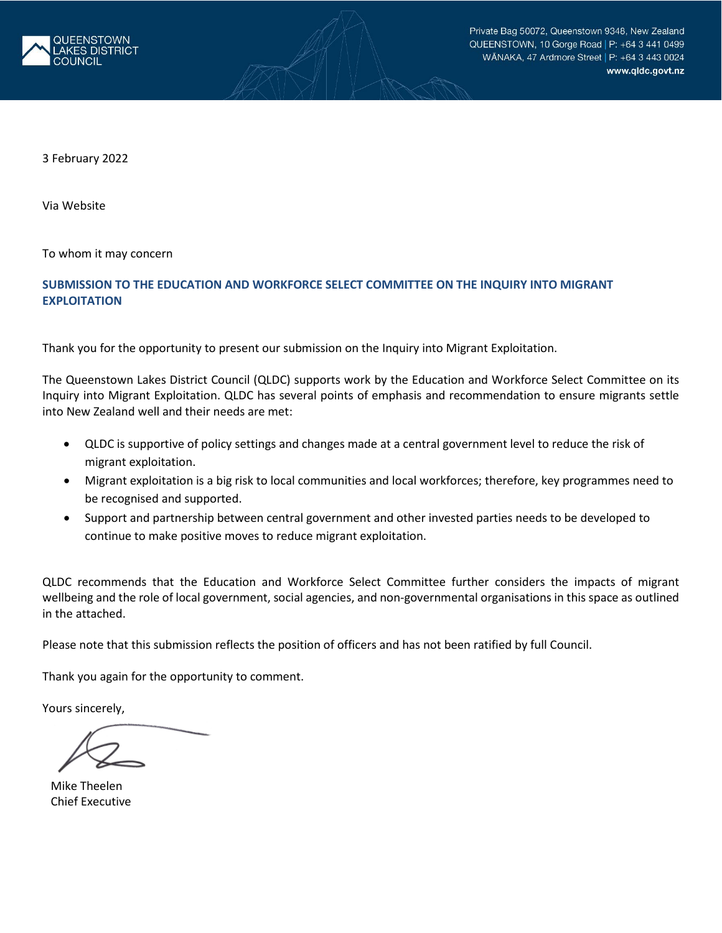

3 February 2022

Via Website

To whom it may concern

# **SUBMISSION TO THE EDUCATION AND WORKFORCE SELECT COMMITTEE ON THE INQUIRY INTO MIGRANT EXPLOITATION**

Thank you for the opportunity to present our submission on the Inquiry into Migrant Exploitation.

The Queenstown Lakes District Council (QLDC) supports work by the Education and Workforce Select Committee on its Inquiry into Migrant Exploitation. QLDC has several points of emphasis and recommendation to ensure migrants settle into New Zealand well and their needs are met:

- QLDC is supportive of policy settings and changes made at a central government level to reduce the risk of migrant exploitation.
- Migrant exploitation is a big risk to local communities and local workforces; therefore, key programmes need to be recognised and supported.
- Support and partnership between central government and other invested parties needs to be developed to continue to make positive moves to reduce migrant exploitation.

QLDC recommends that the Education and Workforce Select Committee further considers the impacts of migrant wellbeing and the role of local government, social agencies, and non-governmental organisations in this space as outlined in the attached.

Please note that this submission reflects the position of officers and has not been ratified by full Council.

Thank you again for the opportunity to comment.

Yours sincerely,

Mike Theelen Chief Executive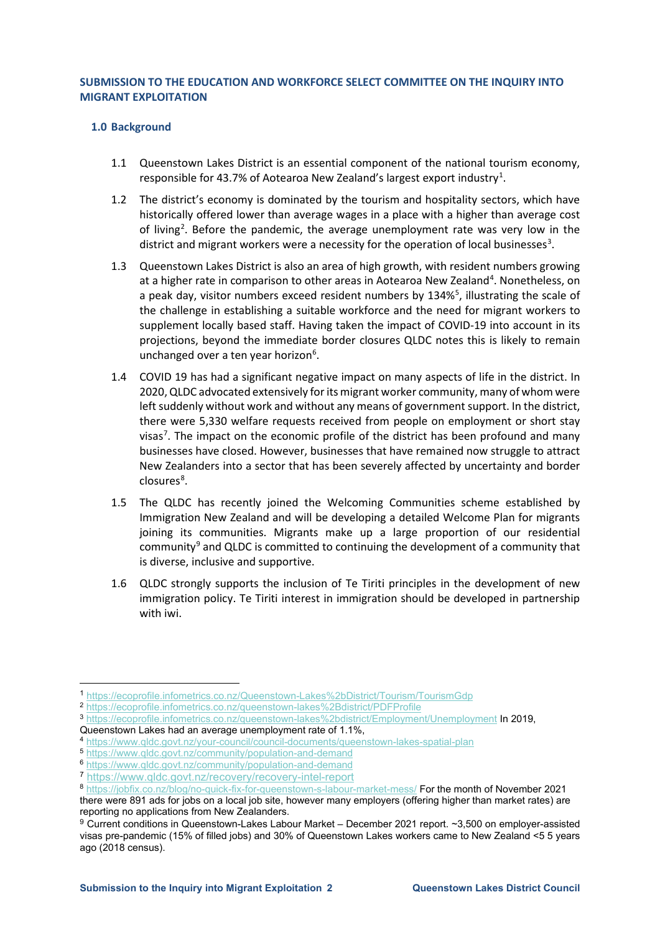#### **SUBMISSION TO THE EDUCATION AND WORKFORCE SELECT COMMITTEE ON THE INQUIRY INTO MIGRANT EXPLOITATION**

#### **1.0 Background**

- 1.1 Queenstown Lakes District is an essential component of the national tourism economy, responsible for 43.7% of Aotearoa New Zealand's largest export industry<sup>[1](#page-1-0)</sup>.
- 1.2 The district's economy is dominated by the tourism and hospitality sectors, which have historically offered lower than average wages in a place with a higher than average cost of living<sup>[2](#page-1-1)</sup>. Before the pandemic, the average unemployment rate was very low in the district and migrant workers were a necessity for the operation of local businesses<sup>[3](#page-1-2)</sup>.
- 1.3 Queenstown Lakes District is also an area of high growth, with resident numbers growing at a higher rate in comparison to other areas in Aotearoa New Zealand<sup>[4](#page-1-3)</sup>. Nonetheless, on a peak day, visitor numbers exceed resident numbers by 134%<sup>[5](#page-1-4)</sup>, illustrating the scale of the challenge in establishing a suitable workforce and the need for migrant workers to supplement locally based staff. Having taken the impact of COVID-19 into account in its projections, beyond the immediate border closures QLDC notes this is likely to remain unchanged over a ten year horizon<sup>[6](#page-1-5)</sup>.
- 1.4 COVID 19 has had a significant negative impact on many aspects of life in the district. In 2020, QLDC advocated extensively for its migrant worker community, many of whom were left suddenly without work and without any means of government support. In the district, there were 5,330 welfare requests received from people on employment or short stay visas<sup>[7](#page-1-6)</sup>. The impact on the economic profile of the district has been profound and many businesses have closed. However, businesses that have remained now struggle to attract New Zealanders into a sector that has been severely affected by uncertainty and border closures<sup>[8](#page-1-7)</sup>.
- 1.5 The QLDC has recently joined the Welcoming Communities scheme established by Immigration New Zealand and will be developing a detailed Welcome Plan for migrants joining its communities. Migrants make up a large proportion of our residential community<sup>[9](#page-1-8)</sup> and QLDC is committed to continuing the development of a community that is diverse, inclusive and supportive.
- 1.6 QLDC strongly supports the inclusion of Te Tiriti principles in the development of new immigration policy. Te Tiriti interest in immigration should be developed in partnership with iwi.

<span id="page-1-0"></span><sup>1</sup> <https://ecoprofile.infometrics.co.nz/Queenstown-Lakes%2bDistrict/Tourism/TourismGdp>

<span id="page-1-1"></span><sup>2</sup> <https://ecoprofile.infometrics.co.nz/queenstown-lakes%2Bdistrict/PDFProfile>

<span id="page-1-2"></span><sup>3</sup> <https://ecoprofile.infometrics.co.nz/queenstown-lakes%2bdistrict/Employment/Unemployment> In 2019,

Queenstown Lakes had an average unemployment rate of 1.1%,

<span id="page-1-3"></span><sup>4</sup> <https://www.qldc.govt.nz/your-council/council-documents/queenstown-lakes-spatial-plan>

<span id="page-1-4"></span><sup>5</sup> <https://www.qldc.govt.nz/community/population-and-demand>

<span id="page-1-5"></span><sup>6</sup> <https://www.qldc.govt.nz/community/population-and-demand>

<span id="page-1-6"></span><sup>7</sup> <https://www.qldc.govt.nz/recovery/recovery-intel-report>

<span id="page-1-7"></span><sup>8</sup> <https://jobfix.co.nz/blog/no-quick-fix-for-queenstown-s-labour-market-mess/> For the month of November 2021

there were 891 ads for jobs on a local job site, however many employers (offering higher than market rates) are reporting no applications from New Zealanders.

<span id="page-1-8"></span><sup>9</sup> Current conditions in Queenstown-Lakes Labour Market – December 2021 report. ~3,500 on employer-assisted visas pre-pandemic (15% of filled jobs) and 30% of Queenstown Lakes workers came to New Zealand <5 5 years ago (2018 census).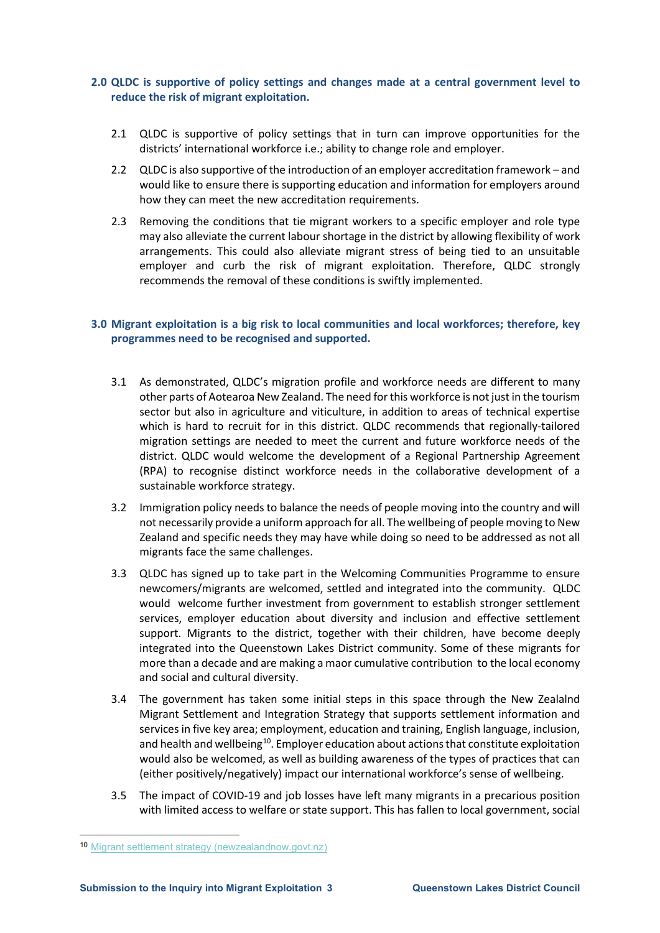## **2.0 QLDC is supportive of policy settings and changes made at a central government level to reduce the risk of migrant exploitation.**

- 2.1 QLDC is supportive of policy settings that in turn can improve opportunities for the districts' international workforce i.e.; ability to change role and employer.
- 2.2 QLDC is also supportive of the introduction of an employer accreditation framework and would like to ensure there is supporting education and information for employers around how they can meet the new accreditation requirements.
- 2.3 Removing the conditions that tie migrant workers to a specific employer and role type may also alleviate the current labour shortage in the district by allowing flexibility of work arrangements. This could also alleviate migrant stress of being tied to an unsuitable employer and curb the risk of migrant exploitation. Therefore, QLDC strongly recommends the removal of these conditions is swiftly implemented.

## **3.0 Migrant exploitation is a big risk to local communities and local workforces; therefore, key programmes need to be recognised and supported.**

- 3.1 As demonstrated, QLDC's migration profile and workforce needs are different to many other parts of Aotearoa New Zealand. The need for this workforce is not just in the tourism sector but also in agriculture and viticulture, in addition to areas of technical expertise which is hard to recruit for in this district. QLDC recommends that regionally-tailored migration settings are needed to meet the current and future workforce needs of the district. QLDC would welcome the development of a Regional Partnership Agreement (RPA) to recognise distinct workforce needs in the collaborative development of a sustainable workforce strategy.
- 3.2 Immigration policy needs to balance the needs of people moving into the country and will not necessarily provide a uniform approach for all. The wellbeing of people moving to New Zealand and specific needs they may have while doing so need to be addressed as not all migrants face the same challenges.
- 3.3 QLDC has signed up to take part in the Welcoming Communities Programme to ensure newcomers/migrants are welcomed, settled and integrated into the community. QLDC would welcome further investment from government to establish stronger settlement services, employer education about diversity and inclusion and effective settlement support. Migrants to the district, together with their children, have become deeply integrated into the Queenstown Lakes District community. Some of these migrants for more than a decade and are making a maor cumulative contribution to the local economy and social and cultural diversity.
- 3.4 The government has taken some initial steps in this space through the New Zealalnd Migrant Settlement and Integration Strategy that supports settlement information and services in five key area; employment, education and training, English language, inclusion, and health and wellbeing<sup>[10](#page-2-0)</sup>. Employer education about actions that constitute exploitation would also be welcomed, as well as building awareness of the types of practices that can (either positively/negatively) impact our international workforce's sense of wellbeing.
- 3.5 The impact of COVID-19 and job losses have left many migrants in a precarious position with limited access to welfare or state support. This has fallen to local government, social

<span id="page-2-0"></span><sup>10</sup> [Migrant settlement strategy \(newzealandnow.govt.nz\)](https://www.newzealandnow.govt.nz/live-in-new-zealand/migrant-settlement-strategy)